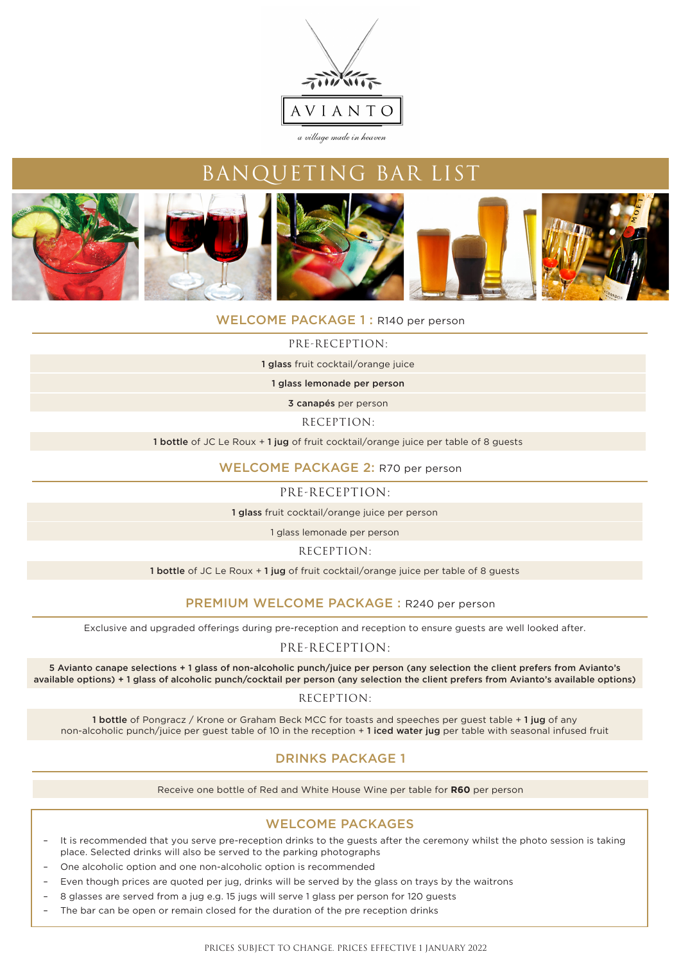



### WELCOME PACKAGE 1: R140 per person

#### PRE-RECEPTION:

1 glass fruit cocktail/orange juice

1 glass lemonade per person

3 canapés per person

RECEPTION:

1 bottle of JC Le Roux + 1 jug of fruit cocktail/orange juice per table of 8 guests

#### WELCOME PACKAGE 2: R70 per person

PRE-RECEPTION:

1 glass fruit cocktail/orange juice per person

1 glass lemonade per person

RECEPTION:

1 bottle of JC Le Roux + 1 jug of fruit cocktail/orange juice per table of 8 quests

### PREMIUM WELCOME PACKAGE : R240 per person

Exclusive and upgraded offerings during pre-reception and reception to ensure guests are well looked after.

### PRE-RECEPTION:

5 Avianto canape selections + 1 glass of non-alcoholic punch/juice per person (any selection the client prefers from Avianto's available options) + 1 glass of alcoholic punch/cocktail per person (any selection the client prefers from Avianto's available options)

#### RECEPTION:

1 bottle of Pongracz / Krone or Graham Beck MCC for toasts and speeches per guest table + 1 jug of any non-alcoholic punch/juice per guest table of 10 in the reception + 1 iced water jug per table with seasonal infused fruit

### DRINKS PACKAGE 1

Receive one bottle of Red and White House Wine per table for **R60** per person

### WELCOME PACKAGES

- It is recommended that you serve pre-reception drinks to the guests after the ceremony whilst the photo session is taking place. Selected drinks will also be served to the parking photographs
- One alcoholic option and one non-alcoholic option is recommended
- Even though prices are quoted per jug, drinks will be served by the glass on trays by the waitrons
- 8 glasses are served from a jug e.g. 15 jugs will serve 1 glass per person for 120 guests
- The bar can be open or remain closed for the duration of the pre reception drinks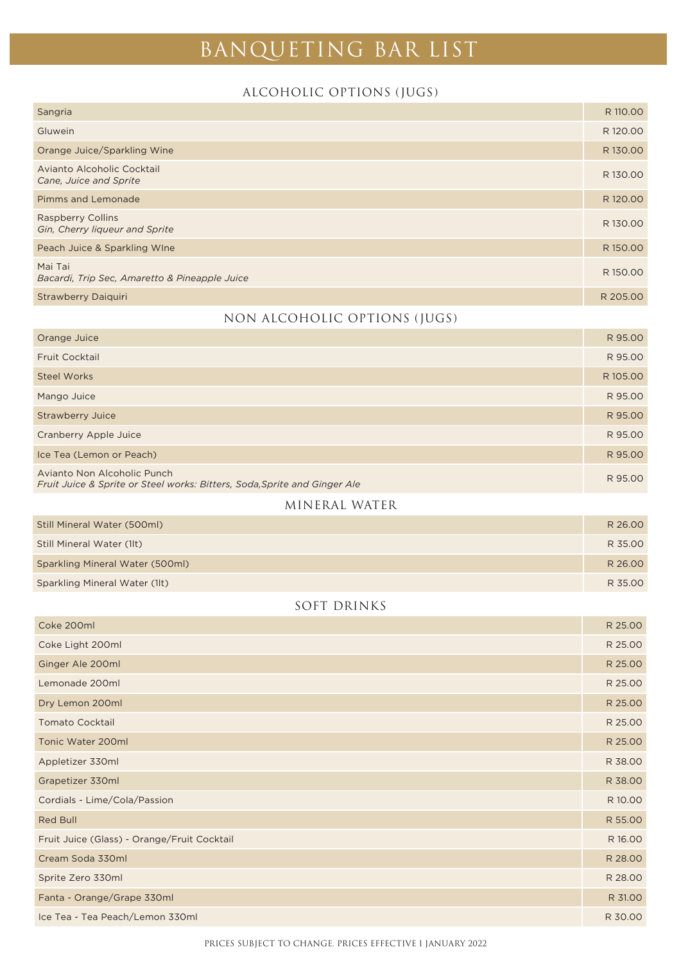# ALCOHOLIC OPTIONS (JUGS)

| Sangria                                                    | R 110.00 |
|------------------------------------------------------------|----------|
| Gluwein                                                    | R 120.00 |
| Orange Juice/Sparkling Wine                                | R130.00  |
| Avianto Alcoholic Cocktail<br>Cane, Juice and Sprite       | R 130.00 |
| Pimms and Lemonade                                         | R 120.00 |
| <b>Raspberry Collins</b><br>Gin, Cherry liqueur and Sprite | R 130.00 |
| Peach Juice & Sparkling Wine                               | R 150.00 |
| Mai Tai<br>Bacardi, Trip Sec, Amaretto & Pineapple Juice   | R 150.00 |
| <b>Strawberry Daiguiri</b>                                 | R 205.00 |
|                                                            |          |

### NON ALCOHOLIC OPTIONS (JUGS)

| Orange Juice                                                                                             | R 95.00  |
|----------------------------------------------------------------------------------------------------------|----------|
| <b>Fruit Cocktail</b>                                                                                    | R 95.00  |
| <b>Steel Works</b>                                                                                       | R 105.00 |
| Mango Juice                                                                                              | R 95.00  |
| <b>Strawberry Juice</b>                                                                                  | R 95.00  |
| Cranberry Apple Juice                                                                                    | R 95.00  |
| Ice Tea (Lemon or Peach)                                                                                 | R 95.00  |
| Avianto Non Alcoholic Punch<br>Fruit Juice & Sprite or Steel works: Bitters, Soda, Sprite and Ginger Ale | R 95.00  |

### MINERAL WATER

| Still Mineral Water (500ml)     | R 26.00 |
|---------------------------------|---------|
| Still Mineral Water (1lt)       | R 35.00 |
| Sparkling Mineral Water (500ml) | R 26.00 |
| Sparkling Mineral Water (1lt)   | R 35.00 |

## SOFT DRINKS

| Coke 200ml                                  | R 25.00 |
|---------------------------------------------|---------|
| Coke Light 200ml                            | R 25.00 |
| Ginger Ale 200ml                            | R 25.00 |
| Lemonade 200ml                              | R 25.00 |
| Dry Lemon 200ml                             | R 25.00 |
| <b>Tomato Cocktail</b>                      | R 25.00 |
| Tonic Water 200ml                           | R 25.00 |
| Appletizer 330ml                            | R 38.00 |
| Grapetizer 330ml                            | R 38.00 |
| Cordials - Lime/Cola/Passion                | R 10.00 |
| Red Bull                                    | R 55.00 |
| Fruit Juice (Glass) - Orange/Fruit Cocktail | R 16.00 |
| Cream Soda 330ml                            | R 28.00 |
| Sprite Zero 330ml                           | R 28.00 |
| Fanta - Orange/Grape 330ml                  | R 31.00 |
| Ice Tea - Tea Peach/Lemon 330ml             | R 30.00 |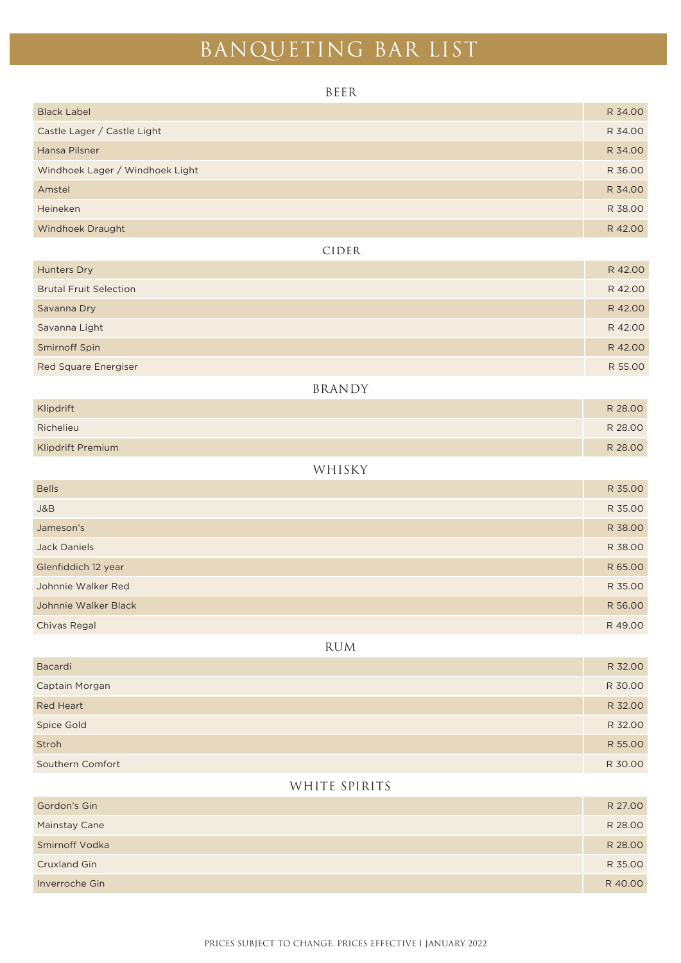| BEER                            |         |
|---------------------------------|---------|
| <b>Black Label</b>              | R 34.00 |
| Castle Lager / Castle Light     | R 34.00 |
| Hansa Pilsner                   | R 34.00 |
| Windhoek Lager / Windhoek Light | R 36.00 |
| Amstel                          | R 34.00 |
| Heineken                        | R 38.00 |
| Windhoek Draught                | R 42.00 |
| CIDER                           |         |
| Hunters Dry                     | R 42.00 |
| <b>Brutal Fruit Selection</b>   | R 42.00 |
| Savanna Dry                     | R 42.00 |
| Savanna Light                   | R 42.00 |
| Smirnoff Spin                   | R 42.00 |
| <b>Red Square Energiser</b>     | R 55.00 |
| <b>BRANDY</b>                   |         |
| Klipdrift                       | R 28.00 |
| Richelieu                       | R 28.00 |
| Klipdrift Premium               | R 28.00 |
| WHISKY                          |         |
| <b>Bells</b>                    | R 35.00 |
| J&B                             | R 35.00 |
| Jameson's                       | R 38.00 |
| <b>Jack Daniels</b>             | R 38.00 |
| Glenfiddich 12 year             | R 65.00 |
| Johnnie Walker Red              | R 35.00 |
| Johnnie Walker Black            | R 56.00 |
| Chivas Regal                    | R 49.00 |
| <b>RUM</b>                      |         |
| Bacardi                         | R 32.00 |
| Captain Morgan                  | R 30.00 |
| Red Heart                       | R 32.00 |
| Spice Gold                      | R 32.00 |
| Stroh                           | R 55.00 |
| Southern Comfort                | R 30.00 |
| WHITE SPIRITS                   |         |
| Gordon's Gin                    | R 27.00 |
| Mainstay Cane                   | R 28.00 |
| Smirnoff Vodka                  | R 28.00 |
| Cruxland Gin                    | R 35.00 |
| Inverroche Gin                  | R 40.00 |